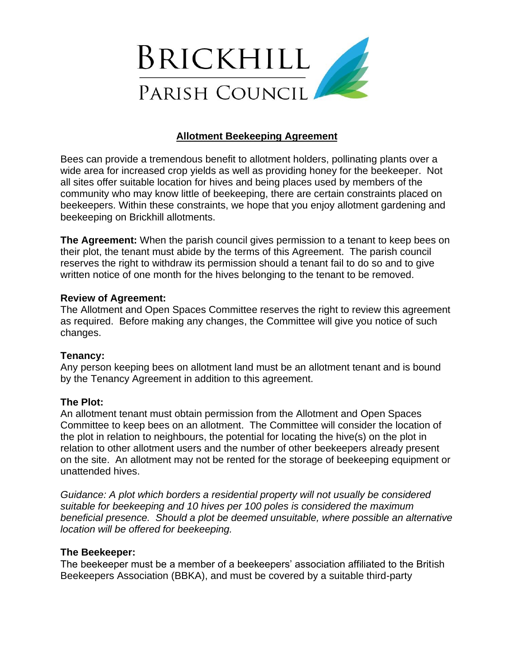

# **Allotment Beekeeping Agreement**

Bees can provide a tremendous benefit to allotment holders, pollinating plants over a wide area for increased crop yields as well as providing honey for the beekeeper. Not all sites offer suitable location for hives and being places used by members of the community who may know little of beekeeping, there are certain constraints placed on beekeepers. Within these constraints, we hope that you enjoy allotment gardening and beekeeping on Brickhill allotments.

**The Agreement:** When the parish council gives permission to a tenant to keep bees on their plot, the tenant must abide by the terms of this Agreement. The parish council reserves the right to withdraw its permission should a tenant fail to do so and to give written notice of one month for the hives belonging to the tenant to be removed.

## **Review of Agreement:**

The Allotment and Open Spaces Committee reserves the right to review this agreement as required. Before making any changes, the Committee will give you notice of such changes.

# **Tenancy:**

Any person keeping bees on allotment land must be an allotment tenant and is bound by the Tenancy Agreement in addition to this agreement.

#### **The Plot:**

An allotment tenant must obtain permission from the Allotment and Open Spaces Committee to keep bees on an allotment. The Committee will consider the location of the plot in relation to neighbours, the potential for locating the hive(s) on the plot in relation to other allotment users and the number of other beekeepers already present on the site. An allotment may not be rented for the storage of beekeeping equipment or unattended hives.

*Guidance: A plot which borders a residential property will not usually be considered suitable for beekeeping and 10 hives per 100 poles is considered the maximum beneficial presence. Should a plot be deemed unsuitable, where possible an alternative location will be offered for beekeeping.*

#### **The Beekeeper:**

The beekeeper must be a member of a beekeepers' association affiliated to the British Beekeepers Association (BBKA), and must be covered by a suitable third-party